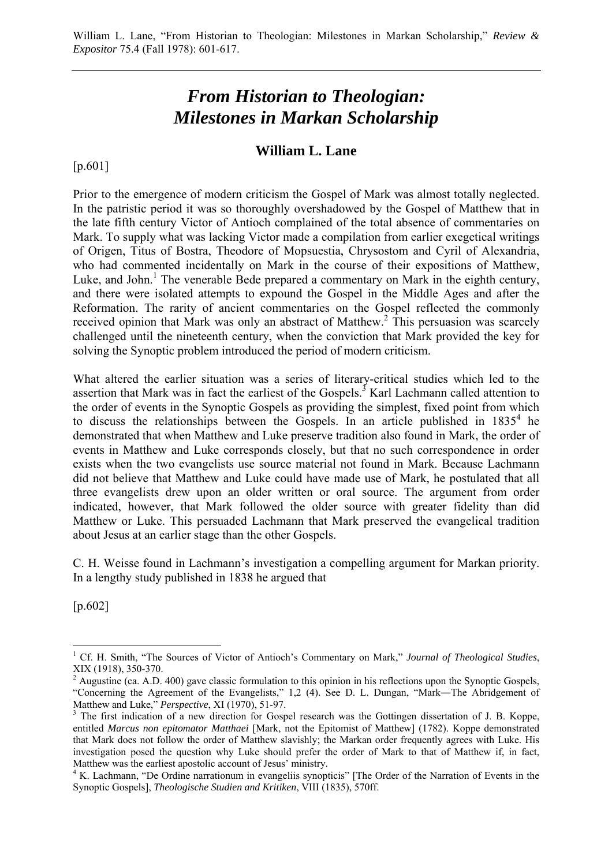# *From Historian to Theologian: Milestones in Markan Scholarship*

# **William L. Lane**

[p.601]

Prior to the emergence of modern criticism the Gospel of Mark was almost totally neglected. In the patristic period it was so thoroughly overshadowed by the Gospel of Matthew that in the late fifth century Victor of Antioch complained of the total absence of commentaries on Mark. To supply what was lacking Victor made a compilation from earlier exegetical writings of Origen, Titus of Bostra, Theodore of Mopsuestia, Chrysostom and Cyril of Alexandria, who had commented incidentally on Mark in the course of their expositions of Matthew, Luke, and John.<sup>1</sup> The venerable Bede prepared a commentary on Mark in the eighth century, and there were isolated attempts to expound the Gospel in the Middle Ages and after the Reformation. The rarity of ancient commentaries on the Gospel reflected the commonly received opinion that Mark was only an abstract of Matthew.<sup>2</sup> This persuasion was scarcely challenged until the nineteenth century, when the conviction that Mark provided the key for solving the Synoptic problem introduced the period of modern criticism.

What altered the earlier situation was a series of literary-critical studies which led to the assertion that Mark was in fact the earliest of the Gospels.<sup>3</sup> Karl Lachmann called attention to the order of events in the Synoptic Gospels as providing the simplest, fixed point from which to discuss the relationships between the Gospels. In an article published in  $1835<sup>4</sup>$  he demonstrated that when Matthew and Luke preserve tradition also found in Mark, the order of events in Matthew and Luke corresponds closely, but that no such correspondence in order exists when the two evangelists use source material not found in Mark. Because Lachmann did not believe that Matthew and Luke could have made use of Mark, he postulated that all three evangelists drew upon an older written or oral source. The argument from order indicated, however, that Mark followed the older source with greater fidelity than did Matthew or Luke. This persuaded Lachmann that Mark preserved the evangelical tradition about Jesus at an earlier stage than the other Gospels.

C. H. Weisse found in Lachmann's investigation a compelling argument for Markan priority. In a lengthy study published in 1838 he argued that

[p.602]

<sup>&</sup>lt;sup>1</sup> Cf. H. Smith, "The Sources of Victor of Antioch's Commentary on Mark," *Journal of Theological Studies*, XIX (1918), 350-370.

<sup>&</sup>lt;sup>2</sup> Augustine (ca. A.D. 400) gave classic formulation to this opinion in his reflections upon the Synoptic Gospels, "Concerning the Agreement of the Evangelists," 1,2 (4). See D. L. Dungan, "Mark―The Abridgement of Matthew and Luke," Perspective, XI (1970), 51-97.

<sup>&</sup>lt;sup>3</sup> The first indication of a new direction for Gospel research was the Gottingen dissertation of J. B. Koppe, entitled *Marcus non epitomator Matthaei* [Mark, not the Epitomist of Matthew] (1782). Koppe demonstrated that Mark does not follow the order of Matthew slavishly; the Markan order frequently agrees with Luke. His investigation posed the question why Luke should prefer the order of Mark to that of Matthew if, in fact, Matthew was the earliest apostolic account of Jesus' ministry.

<sup>&</sup>lt;sup>4</sup> K. Lachmann, "De Ordine narrationum in evangeliis synopticis" [The Order of the Narration of Events in the Synoptic Gospels], *Theologische Studien and Kritiken*, VIII (1835), 570ff.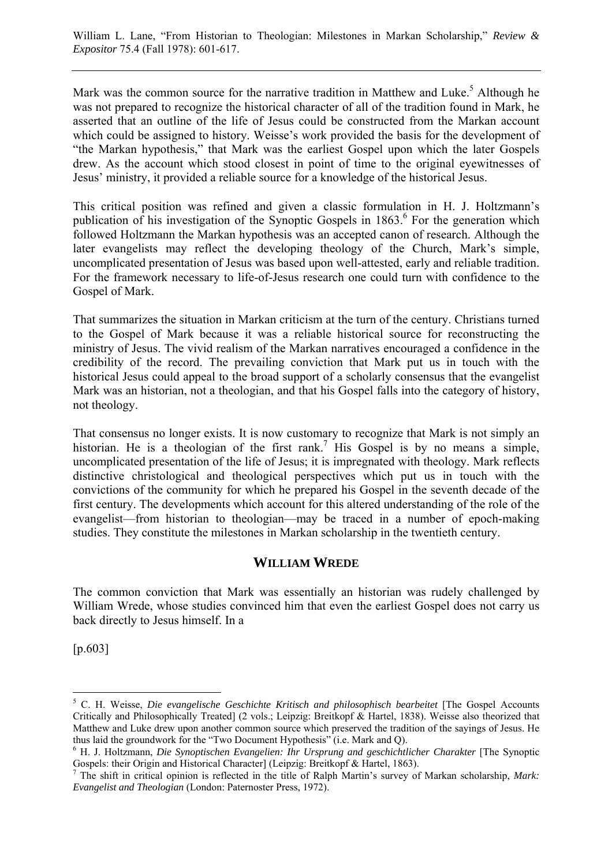Mark was the common source for the narrative tradition in Matthew and Luke.<sup>5</sup> Although he was not prepared to recognize the historical character of all of the tradition found in Mark, he asserted that an outline of the life of Jesus could be constructed from the Markan account which could be assigned to history. Weisse's work provided the basis for the development of "the Markan hypothesis," that Mark was the earliest Gospel upon which the later Gospels drew. As the account which stood closest in point of time to the original eyewitnesses of Jesus' ministry, it provided a reliable source for a knowledge of the historical Jesus.

This critical position was refined and given a classic formulation in H. J. Holtzmann's publication of his investigation of the Synoptic Gospels in 1863.<sup>6</sup> For the generation which followed Holtzmann the Markan hypothesis was an accepted canon of research. Although the later evangelists may reflect the developing theology of the Church, Mark's simple, uncomplicated presentation of Jesus was based upon well-attested, early and reliable tradition. For the framework necessary to life-of-Jesus research one could turn with confidence to the Gospel of Mark.

That summarizes the situation in Markan criticism at the turn of the century. Christians turned to the Gospel of Mark because it was a reliable historical source for reconstructing the ministry of Jesus. The vivid realism of the Markan narratives encouraged a confidence in the credibility of the record. The prevailing conviction that Mark put us in touch with the historical Jesus could appeal to the broad support of a scholarly consensus that the evangelist Mark was an historian, not a theologian, and that his Gospel falls into the category of history, not theology.

That consensus no longer exists. It is now customary to recognize that Mark is not simply an historian. He is a theologian of the first rank.<sup>7</sup> His Gospel is by no means a simple, uncomplicated presentation of the life of Jesus; it is impregnated with theology. Mark reflects distinctive christological and theological perspectives which put us in touch with the convictions of the community for which he prepared his Gospel in the seventh decade of the first century. The developments which account for this altered understanding of the role of the evangelist—from historian to theologian—may be traced in a number of epoch-making studies. They constitute the milestones in Markan scholarship in the twentieth century.

# **WILLIAM WREDE**

The common conviction that Mark was essentially an historian was rudely challenged by William Wrede, whose studies convinced him that even the earliest Gospel does not carry us back directly to Jesus himself. In a

[p.603]

<sup>5</sup> C. H. Weisse, *Die evangelische Geschichte Kritisch and philosophisch bearbeitet* [The Gospel Accounts Critically and Philosophically Treated] (2 vols.; Leipzig: Breitkopf & Hartel, 1838). Weisse also theorized that Matthew and Luke drew upon another common source which preserved the tradition of the sayings of Jesus. He thus laid the groundwork for the "Two Document Hypothesis" (i.e. Mark and Q).

<sup>6</sup> H. J. Holtzmann, *Die Synoptischen Evangelien: Ihr Ursprung and geschichtlicher Charakter* [The Synoptic Gospels: their Origin and Historical Character] (Leipzig: Breitkopf & Hartel, 1863). 7

The shift in critical opinion is reflected in the title of Ralph Martin's survey of Markan scholarship, *Mark:*  $\frac{r}{\sqrt{2}}$ *Evangelist and Theologian* (London: Paternoster Press, 1972).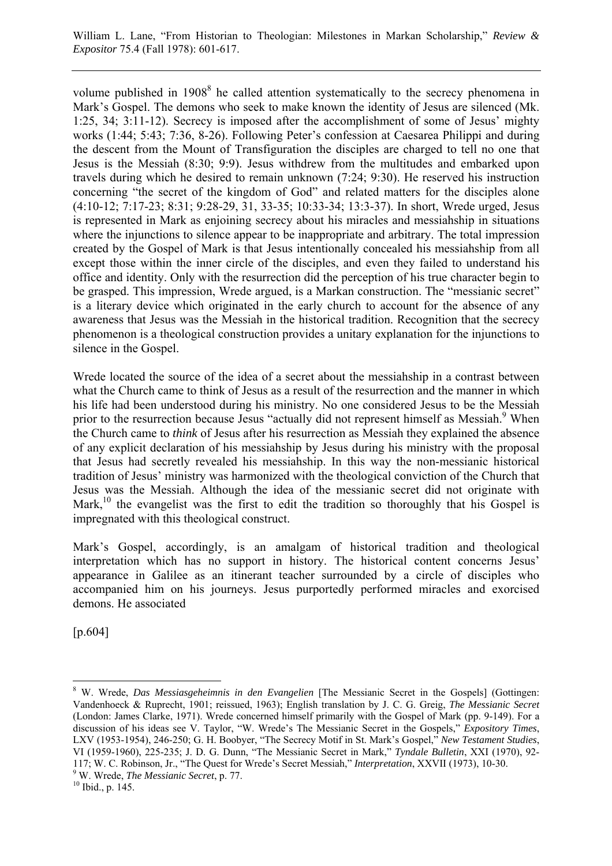William L. Lane, "From Historian to Theologian: Milestones in Markan Scholarship," *Review & Expositor* 75.4 (Fall 1978): 601-617.

volume published in  $1908<sup>8</sup>$  he called attention systematically to the secrecy phenomena in Mark's Gospel. The demons who seek to make known the identity of Jesus are silenced (Mk. 1:25, 34; 3:11-12). Secrecy is imposed after the accomplishment of some of Jesus' mighty works (1:44; 5:43; 7:36, 8-26). Following Peter's confession at Caesarea Philippi and during the descent from the Mount of Transfiguration the disciples are charged to tell no one that Jesus is the Messiah (8:30; 9:9). Jesus withdrew from the multitudes and embarked upon travels during which he desired to remain unknown (7:24; 9:30). He reserved his instruction concerning "the secret of the kingdom of God" and related matters for the disciples alone (4:10-12; 7:17-23; 8:31; 9:28-29, 31, 33-35; 10:33-34; 13:3-37). In short, Wrede urged, Jesus is represented in Mark as enjoining secrecy about his miracles and messiahship in situations where the injunctions to silence appear to be inappropriate and arbitrary. The total impression created by the Gospel of Mark is that Jesus intentionally concealed his messiahship from all except those within the inner circle of the disciples, and even they failed to understand his office and identity. Only with the resurrection did the perception of his true character begin to be grasped. This impression, Wrede argued, is a Markan construction. The "messianic secret" is a literary device which originated in the early church to account for the absence of any awareness that Jesus was the Messiah in the historical tradition. Recognition that the secrecy phenomenon is a theological construction provides a unitary explanation for the injunctions to silence in the Gospel.

Wrede located the source of the idea of a secret about the messiahship in a contrast between what the Church came to think of Jesus as a result of the resurrection and the manner in which his life had been understood during his ministry. No one considered Jesus to be the Messiah prior to the resurrection because Jesus "actually did not represent himself as Messiah.<sup>9</sup> When the Church came to *think* of Jesus after his resurrection as Messiah they explained the absence of any explicit declaration of his messiahship by Jesus during his ministry with the proposal that Jesus had secretly revealed his messiahship. In this way the non-messianic historical tradition of Jesus' ministry was harmonized with the theological conviction of the Church that Jesus was the Messiah. Although the idea of the messianic secret did not originate with Mark, $^{10}$  the evangelist was the first to edit the tradition so thoroughly that his Gospel is impregnated with this theological construct.

Mark's Gospel, accordingly, is an amalgam of historical tradition and theological interpretation which has no support in history. The historical content concerns Jesus' appearance in Galilee as an itinerant teacher surrounded by a circle of disciples who accompanied him on his journeys. Jesus purportedly performed miracles and exorcised demons. He associated

[p.604]

<sup>8</sup> W. Wrede, *Das Messiasgeheimnis in den Evangelien* [The Messianic Secret in the Gospels] (Gottingen: Vandenhoeck & Ruprecht, 1901; reissued, 1963); English translation by J. C. G. Greig, *The Messianic Secret* (London: James Clarke, 1971). Wrede concerned himself primarily with the Gospel of Mark (pp. 9-149). For a discussion of his ideas see V. Taylor, "W. Wrede's The Messianic Secret in the Gospels," *Expository Times*, LXV (1953-1954), 246-250; G. H. Boobyer, "The Secrecy Motif in St. Mark's Gospel," *New Testament Studies*, VI (1959-1960), 225-235; J. D. G. Dunn, "The Messianic Secret in Mark," *Tyndale Bulletin*, XXI (1970), 92- 117; W. C. Robinson, Jr., "The Quest for Wrede's Secret Messiah," *Interpretation*, XXVII (1973), 10-30. 9

W. Wrede, *The Messianic Secret*, p. 77. 10 Ibid., p. 145.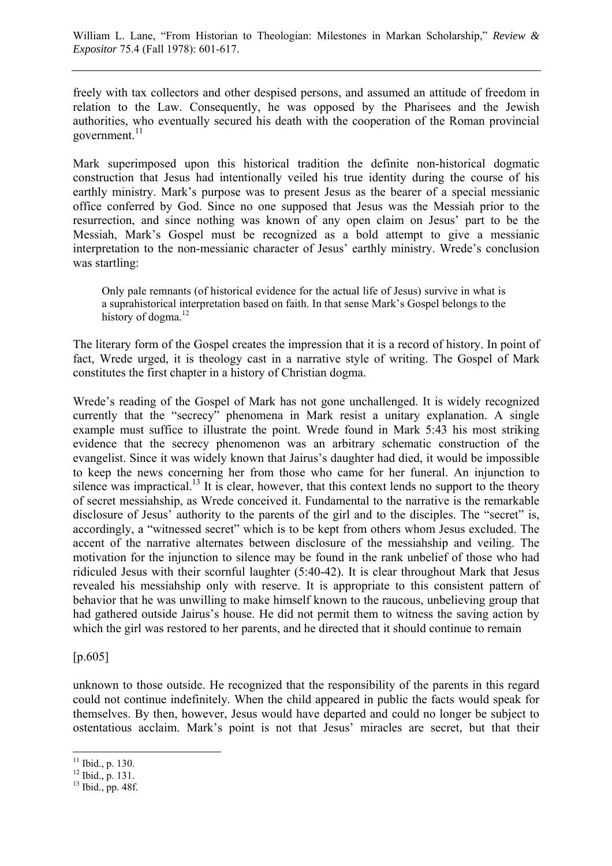freely with tax collectors and other despised persons, and assumed an attitude of freedom in relation to the Law. Consequently, he was opposed by the Pharisees and the Jewish authorities, who eventually secured his death with the cooperation of the Roman provincial government. $^{11}$ 

Mark superimposed upon this historical tradition the definite non-historical dogmatic construction that Jesus had intentionally veiled his true identity during the course of his earthly ministry. Mark's purpose was to present Jesus as the bearer of a special messianic office conferred by God. Since no one supposed that Jesus was the Messiah prior to the resurrection, and since nothing was known of any open claim on Jesus' part to be the Messiah, Mark's Gospel must be recognized as a bold attempt to give a messianic interpretation to the non-messianic character of Jesus' earthly ministry. Wrede's conclusion was startling:

Only pale remnants (of historical evidence for the actual life of Jesus) survive in what is a suprahistorical interpretation based on faith. In that sense Mark's Gospel belongs to the history of dogma. $^{12}$ 

The literary form of the Gospel creates the impression that it is a record of history. In point of fact, Wrede urged, it is theology cast in a narrative style of writing. The Gospel of Mark constitutes the first chapter in a history of Christian dogma.

Wrede's reading of the Gospel of Mark has not gone unchallenged. It is widely recognized currently that the "secrecy" phenomena in Mark resist a unitary explanation. A single example must suffice to illustrate the point. Wrede found in Mark 5:43 his most striking evidence that the secrecy phenomenon was an arbitrary schematic construction of the evangelist. Since it was widely known that Jairus's daughter had died, it would be impossible to keep the news concerning her from those who came for her funeral. An injunction to silence was impractical.<sup>13</sup> It is clear, however, that this context lends no support to the theory of secret messiahship, as Wrede conceived it. Fundamental to the narrative is the remarkable disclosure of Jesus' authority to the parents of the girl and to the disciples. The "secret" is, accordingly, a "witnessed secret" which is to be kept from others whom Jesus excluded. The accent of the narrative alternates between disclosure of the messiahship and veiling. The motivation for the injunction to silence may be found in the rank unbelief of those who had ridiculed Jesus with their scornful laughter (5:40-42). It is clear throughout Mark that Jesus revealed his messiahship only with reserve. It is appropriate to this consistent pattern of behavior that he was unwilling to make himself known to the raucous, unbelieving group that had gathered outside Jairus's house. He did not permit them to witness the saving action by which the girl was restored to her parents, and he directed that it should continue to remain

[p.605]

unknown to those outside. He recognized that the responsibility of the parents in this regard could not continue indefinitely. When the child appeared in public the facts would speak for themselves. By then, however, Jesus would have departed and could no longer be subject to ostentatious acclaim. Mark's point is not that Jesus' miracles are secret, but that their

 $11$  Ibid., p. 130.

 $12$  Ibid., p. 131.

 $13$  Ibid., pp. 48f.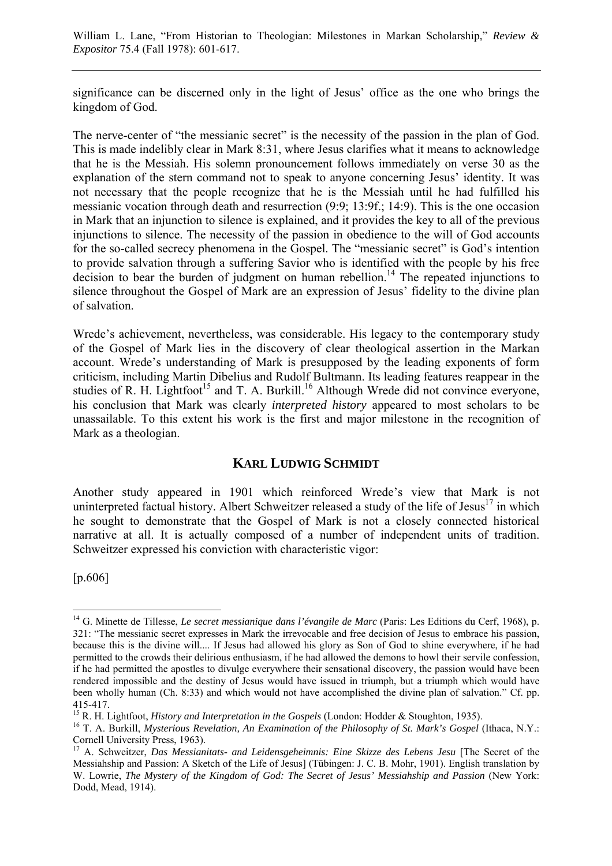significance can be discerned only in the light of Jesus' office as the one who brings the kingdom of God.

The nerve-center of "the messianic secret" is the necessity of the passion in the plan of God. This is made indelibly clear in Mark 8:31, where Jesus clarifies what it means to acknowledge that he is the Messiah. His solemn pronouncement follows immediately on verse 30 as the explanation of the stern command not to speak to anyone concerning Jesus' identity. It was not necessary that the people recognize that he is the Messiah until he had fulfilled his messianic vocation through death and resurrection (9:9; 13:9f.; 14:9). This is the one occasion in Mark that an injunction to silence is explained, and it provides the key to all of the previous injunctions to silence. The necessity of the passion in obedience to the will of God accounts for the so-called secrecy phenomena in the Gospel. The "messianic secret" is God's intention to provide salvation through a suffering Savior who is identified with the people by his free decision to bear the burden of judgment on human rebellion.<sup>14</sup> The repeated injunctions to silence throughout the Gospel of Mark are an expression of Jesus' fidelity to the divine plan of salvation.

Wrede's achievement, nevertheless, was considerable. His legacy to the contemporary study of the Gospel of Mark lies in the discovery of clear theological assertion in the Markan account. Wrede's understanding of Mark is presupposed by the leading exponents of form criticism, including Martin Dibelius and Rudolf Bultmann. Its leading features reappear in the studies of R. H. Lightfoot<sup>15</sup> and T. A. Burkill.<sup>16</sup> Although Wrede did not convince everyone, his conclusion that Mark was clearly *interpreted history* appeared to most scholars to be unassailable. To this extent his work is the first and major milestone in the recognition of Mark as a theologian.

# **KARL LUDWIG SCHMIDT**

Another study appeared in 1901 which reinforced Wrede's view that Mark is not uninterpreted factual history. Albert Schweitzer released a study of the life of Jesus<sup>17</sup> in which he sought to demonstrate that the Gospel of Mark is not a closely connected historical narrative at all. It is actually composed of a number of independent units of tradition. Schweitzer expressed his conviction with characteristic vigor:

[p.606]

 $\overline{a}$ <sup>14</sup> G. Minette de Tillesse, *Le secret messianique dans l'évangile de Marc* (Paris: Les Editions du Cerf, 1968), p. 321: "The messianic secret expresses in Mark the irrevocable and free decision of Jesus to embrace his passion, because this is the divine will.... If Jesus had allowed his glory as Son of God to shine everywhere, if he had permitted to the crowds their delirious enthusiasm, if he had allowed the demons to howl their servile confession, if he had permitted the apostles to divulge everywhere their sensational discovery, the passion would have been rendered impossible and the destiny of Jesus would have issued in triumph, but a triumph which would have been wholly human (Ch. 8:33) and which would not have accomplished the divine plan of salvation." Cf. pp. 415-417.<br><sup>15</sup> R. H. Lightfoot. *History and Interpretation in the Gospels* (London: Hodder & Stoughton, 1935).

<sup>&</sup>lt;sup>16</sup> T. A. Burkill, *Mysterious Revelation, An Examination of the Philosophy of St. Mark's Gospel* (Ithaca, N.Y.: Cornell University Press, 1963).

<sup>17</sup> A. Schweitzer, *Das Messianitats- and Leidensgeheimnis: Eine Skizze des Lebens Jesu* [The Secret of the Messiahship and Passion: A Sketch of the Life of Jesus] (Tübingen: J. C. B. Mohr, 1901). English translation by W. Lowrie, *The Mystery of the Kingdom of God: The Secret of Jesus' Messiahship and Passion* (New York: Dodd, Mead, 1914).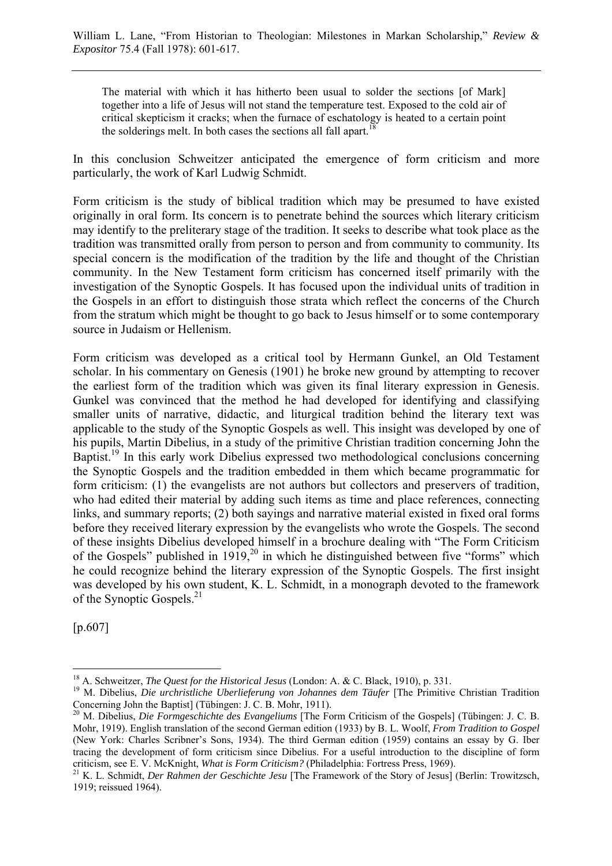The material with which it has hitherto been usual to solder the sections [of Mark] together into a life of Jesus will not stand the temperature test. Exposed to the cold air of critical skepticism it cracks; when the furnace of eschatology is heated to a certain point the solderings melt. In both cases the sections all fall apart.<sup>1</sup>

In this conclusion Schweitzer anticipated the emergence of form criticism and more particularly, the work of Karl Ludwig Schmidt.

Form criticism is the study of biblical tradition which may be presumed to have existed originally in oral form. Its concern is to penetrate behind the sources which literary criticism may identify to the preliterary stage of the tradition. It seeks to describe what took place as the tradition was transmitted orally from person to person and from community to community. Its special concern is the modification of the tradition by the life and thought of the Christian community. In the New Testament form criticism has concerned itself primarily with the investigation of the Synoptic Gospels. It has focused upon the individual units of tradition in the Gospels in an effort to distinguish those strata which reflect the concerns of the Church from the stratum which might be thought to go back to Jesus himself or to some contemporary source in Judaism or Hellenism.

Form criticism was developed as a critical tool by Hermann Gunkel, an Old Testament scholar. In his commentary on Genesis (1901) he broke new ground by attempting to recover the earliest form of the tradition which was given its final literary expression in Genesis. Gunkel was convinced that the method he had developed for identifying and classifying smaller units of narrative, didactic, and liturgical tradition behind the literary text was applicable to the study of the Synoptic Gospels as well. This insight was developed by one of his pupils, Martin Dibelius, in a study of the primitive Christian tradition concerning John the Baptist.<sup>19</sup> In this early work Dibelius expressed two methodological conclusions concerning the Synoptic Gospels and the tradition embedded in them which became programmatic for form criticism: (1) the evangelists are not authors but collectors and preservers of tradition, who had edited their material by adding such items as time and place references, connecting links, and summary reports; (2) both sayings and narrative material existed in fixed oral forms before they received literary expression by the evangelists who wrote the Gospels. The second of these insights Dibelius developed himself in a brochure dealing with "The Form Criticism of the Gospels" published in  $1919$ ,<sup>20</sup> in which he distinguished between five "forms" which he could recognize behind the literary expression of the Synoptic Gospels. The first insight was developed by his own student, K. L. Schmidt, in a monograph devoted to the framework of the Synoptic Gospels.<sup>21</sup>

[p.607]

<sup>&</sup>lt;sup>18</sup> A. Schweitzer, *The Quest for the Historical Jesus* (London: A. & C. Black, 1910), p. 331.<br><sup>19</sup> M. Dibelius, *Die urchristliche Uberlieferung von Johannes dem Täufer* [The Primitive Christian Tradition Concerning John the Baptist] (Tübingen: J. C. B. Mohr, 1911).

<sup>20</sup> M. Dibelius, *Die Formgeschichte des Evangeliums* [The Form Criticism of the Gospels] (Tübingen: J. C. B. Mohr, 1919). English translation of the second German edition (1933) by B. L. Woolf, *From Tradition to Gospel* (New York: Charles Scribner's Sons, 1934). The third German edition (1959) contains an essay by G. Iber tracing the development of form criticism since Dibelius. For a useful introduction to the discipline of form criticism, see E. V. McKnight, What is Form Criticism? (Philadelphia: Fortress Press, 1969).

<sup>&</sup>lt;sup>21</sup> K. L. Schmidt, *Der Rahmen der Geschichte Jesu* [The Framework of the Story of Jesus] (Berlin: Trowitzsch, 1919; reissued 1964).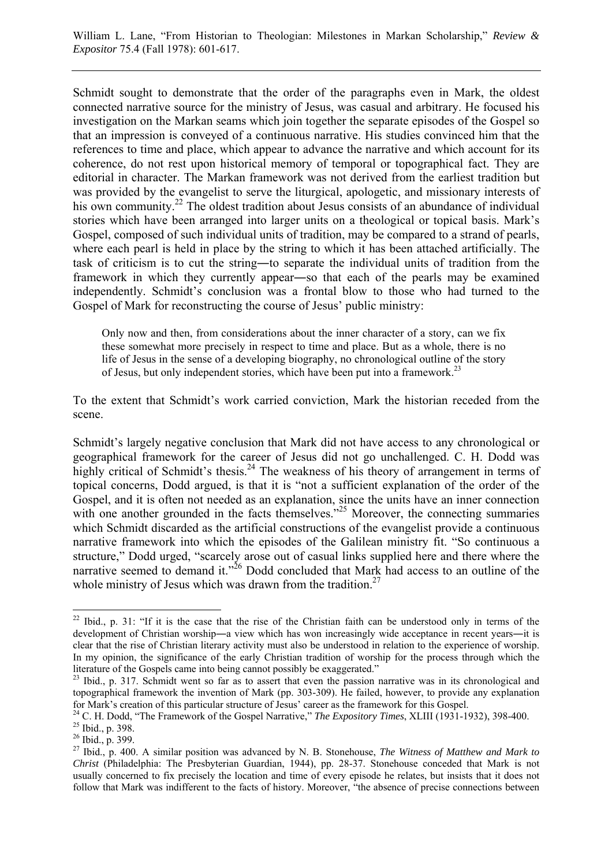Schmidt sought to demonstrate that the order of the paragraphs even in Mark, the oldest connected narrative source for the ministry of Jesus, was casual and arbitrary. He focused his investigation on the Markan seams which join together the separate episodes of the Gospel so that an impression is conveyed of a continuous narrative. His studies convinced him that the references to time and place, which appear to advance the narrative and which account for its coherence, do not rest upon historical memory of temporal or topographical fact. They are editorial in character. The Markan framework was not derived from the earliest tradition but was provided by the evangelist to serve the liturgical, apologetic, and missionary interests of his own community.<sup>22</sup> The oldest tradition about Jesus consists of an abundance of individual stories which have been arranged into larger units on a theological or topical basis. Mark's Gospel, composed of such individual units of tradition, may be compared to a strand of pearls, where each pearl is held in place by the string to which it has been attached artificially. The task of criticism is to cut the string―to separate the individual units of tradition from the framework in which they currently appear―so that each of the pearls may be examined independently. Schmidt's conclusion was a frontal blow to those who had turned to the Gospel of Mark for reconstructing the course of Jesus' public ministry:

Only now and then, from considerations about the inner character of a story, can we fix these somewhat more precisely in respect to time and place. But as a whole, there is no life of Jesus in the sense of a developing biography, no chronological outline of the story of Jesus, but only independent stories, which have been put into a framework.<sup>23</sup>

To the extent that Schmidt's work carried conviction, Mark the historian receded from the scene.

Schmidt's largely negative conclusion that Mark did not have access to any chronological or geographical framework for the career of Jesus did not go unchallenged. C. H. Dodd was highly critical of Schmidt's thesis.<sup>24</sup> The weakness of his theory of arrangement in terms of topical concerns, Dodd argued, is that it is "not a sufficient explanation of the order of the Gospel, and it is often not needed as an explanation, since the units have an inner connection with one another grounded in the facts themselves.<sup>"25</sup> Moreover, the connecting summaries which Schmidt discarded as the artificial constructions of the evangelist provide a continuous narrative framework into which the episodes of the Galilean ministry fit. "So continuous a structure," Dodd urged, "scarcely arose out of casual links supplied here and there where the narrative seemed to demand it."<sup>26</sup> Dodd concluded that Mark had access to an outline of the whole ministry of Jesus which was drawn from the tradition.<sup>27</sup>

 $22$  Ibid., p. 31: "If it is the case that the rise of the Christian faith can be understood only in terms of the development of Christian worship—a view which has won increasingly wide acceptance in recent years—it is clear that the rise of Christian literary activity must also be understood in relation to the experience of worship. In my opinion, the significance of the early Christian tradition of worship for the process through which the literature of the Gospels came into being cannot possibly be exaggerated."

<sup>&</sup>lt;sup>23</sup> Ibid., p. 317. Schmidt went so far as to assert that even the passion narrative was in its chronological and topographical framework the invention of Mark (pp. 303-309). He failed, however, to provide any explanation for Mark's creation of this particular structure of Jesus' career as the framework for this Gospel.<br><sup>24</sup> C. H. Dodd, "The Framework of the Gospel Narrative," *The Expository Times*, XLIII (1931-1932), 398-400.<br><sup>25</sup> Ibid..

<sup>26</sup> Ibid., p. 399.

<sup>27</sup> Ibid., p. 400. A similar position was advanced by N. B. Stonehouse, *The Witness of Matthew and Mark to Christ* (Philadelphia: The Presbyterian Guardian, 1944), pp. 28-37. Stonehouse conceded that Mark is not usually concerned to fix precisely the location and time of every episode he relates, but insists that it does not follow that Mark was indifferent to the facts of history. Moreover, "the absence of precise connections between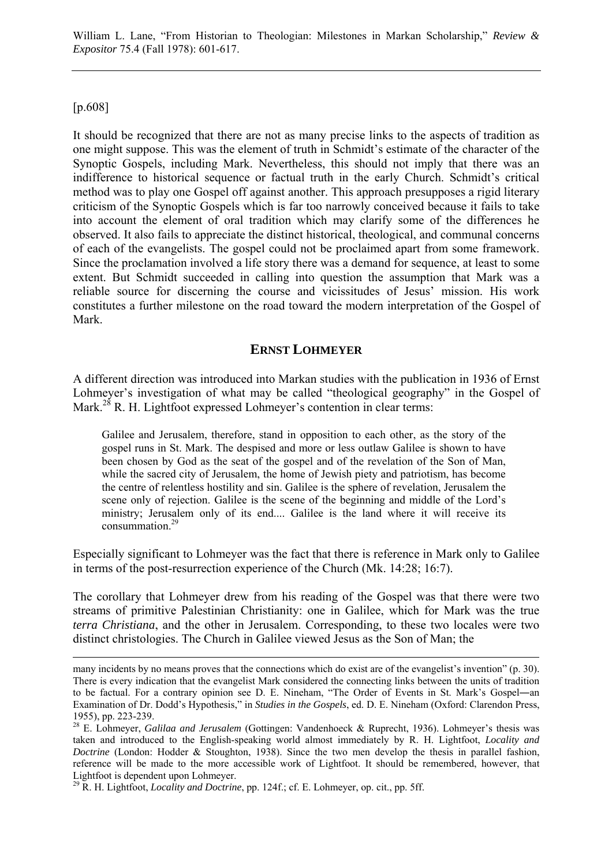William L. Lane, "From Historian to Theologian: Milestones in Markan Scholarship," *Review & Expositor* 75.4 (Fall 1978): 601-617.

#### [p.608]

It should be recognized that there are not as many precise links to the aspects of tradition as one might suppose. This was the element of truth in Schmidt's estimate of the character of the Synoptic Gospels, including Mark. Nevertheless, this should not imply that there was an indifference to historical sequence or factual truth in the early Church. Schmidt's critical method was to play one Gospel off against another. This approach presupposes a rigid literary criticism of the Synoptic Gospels which is far too narrowly conceived because it fails to take into account the element of oral tradition which may clarify some of the differences he observed. It also fails to appreciate the distinct historical, theological, and communal concerns of each of the evangelists. The gospel could not be proclaimed apart from some framework. Since the proclamation involved a life story there was a demand for sequence, at least to some extent. But Schmidt succeeded in calling into question the assumption that Mark was a reliable source for discerning the course and vicissitudes of Jesus' mission. His work constitutes a further milestone on the road toward the modern interpretation of the Gospel of Mark.

# **ERNST LOHMEYER**

A different direction was introduced into Markan studies with the publication in 1936 of Ernst Lohmeyer's investigation of what may be called "theological geography" in the Gospel of Mark.<sup>28</sup> R. H. Lightfoot expressed Lohmeyer's contention in clear terms:

Galilee and Jerusalem, therefore, stand in opposition to each other, as the story of the gospel runs in St. Mark. The despised and more or less outlaw Galilee is shown to have been chosen by God as the seat of the gospel and of the revelation of the Son of Man, while the sacred city of Jerusalem, the home of Jewish piety and patriotism, has become the centre of relentless hostility and sin. Galilee is the sphere of revelation, Jerusalem the scene only of rejection. Galilee is the scene of the beginning and middle of the Lord's ministry; Jerusalem only of its end.... Galilee is the land where it will receive its  $\frac{5}{29}$  consummation  $29$ 

Especially significant to Lohmeyer was the fact that there is reference in Mark only to Galilee in terms of the post-resurrection experience of the Church (Mk. 14:28; 16:7).

The corollary that Lohmeyer drew from his reading of the Gospel was that there were two streams of primitive Palestinian Christianity: one in Galilee, which for Mark was the true *terra Christiana*, and the other in Jerusalem. Corresponding, to these two locales were two distinct christologies. The Church in Galilee viewed Jesus as the Son of Man; the

many incidents by no means proves that the connections which do exist are of the evangelist's invention" (p. 30). There is every indication that the evangelist Mark considered the connecting links between the units of tradition to be factual. For a contrary opinion see D. E. Nineham, "The Order of Events in St. Mark's Gospel―an Examination of Dr. Dodd's Hypothesis," in *Studies in the Gospels*, ed. D. E. Nineham (Oxford: Clarendon Press, 1955), pp. 223-239.

<sup>28</sup> E. Lohmeyer, *Galilaa and Jerusalem* (Gottingen: Vandenhoeck & Ruprecht, 1936). Lohmeyer's thesis was taken and introduced to the English-speaking world almost immediately by R. H. Lightfoot, *Locality and Doctrine* (London: Hodder & Stoughton, 1938). Since the two men develop the thesis in parallel fashion, reference will be made to the more accessible work of Lightfoot. It should be remembered, however, that Lightfoot is dependent upon Lohmeyer.

<sup>29</sup> R. H. Lightfoot, *Locality and Doctrine*, pp. 124f.; cf. E. Lohmeyer, op. cit., pp. 5ff.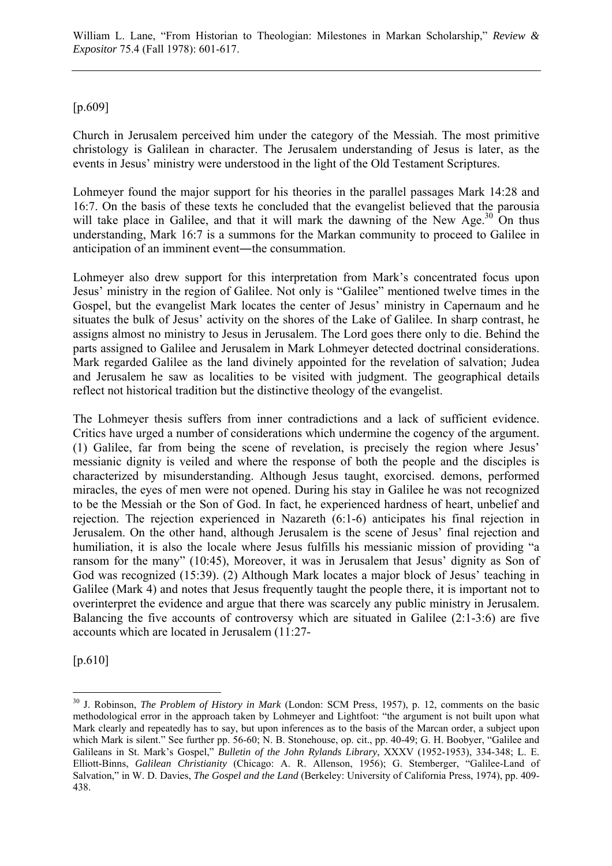William L. Lane, "From Historian to Theologian: Milestones in Markan Scholarship," *Review & Expositor* 75.4 (Fall 1978): 601-617.

#### [p.609]

Church in Jerusalem perceived him under the category of the Messiah. The most primitive christology is Galilean in character. The Jerusalem understanding of Jesus is later, as the events in Jesus' ministry were understood in the light of the Old Testament Scriptures.

Lohmeyer found the major support for his theories in the parallel passages Mark 14:28 and 16:7. On the basis of these texts he concluded that the evangelist believed that the parousia will take place in Galilee, and that it will mark the dawning of the New Age.<sup>30</sup> On thus understanding, Mark 16:7 is a summons for the Markan community to proceed to Galilee in anticipation of an imminent event—the consummation.

Lohmeyer also drew support for this interpretation from Mark's concentrated focus upon Jesus' ministry in the region of Galilee. Not only is "Galilee" mentioned twelve times in the Gospel, but the evangelist Mark locates the center of Jesus' ministry in Capernaum and he situates the bulk of Jesus' activity on the shores of the Lake of Galilee. In sharp contrast, he assigns almost no ministry to Jesus in Jerusalem. The Lord goes there only to die. Behind the parts assigned to Galilee and Jerusalem in Mark Lohmeyer detected doctrinal considerations. Mark regarded Galilee as the land divinely appointed for the revelation of salvation; Judea and Jerusalem he saw as localities to be visited with judgment. The geographical details reflect not historical tradition but the distinctive theology of the evangelist.

The Lohmeyer thesis suffers from inner contradictions and a lack of sufficient evidence. Critics have urged a number of considerations which undermine the cogency of the argument. (1) Galilee, far from being the scene of revelation, is precisely the region where Jesus' messianic dignity is veiled and where the response of both the people and the disciples is characterized by misunderstanding. Although Jesus taught, exorcised. demons, performed miracles, the eyes of men were not opened. During his stay in Galilee he was not recognized to be the Messiah or the Son of God. In fact, he experienced hardness of heart, unbelief and rejection. The rejection experienced in Nazareth (6:1-6) anticipates his final rejection in Jerusalem. On the other hand, although Jerusalem is the scene of Jesus' final rejection and humiliation, it is also the locale where Jesus fulfills his messianic mission of providing "a ransom for the many" (10:45), Moreover, it was in Jerusalem that Jesus' dignity as Son of God was recognized (15:39). (2) Although Mark locates a major block of Jesus' teaching in Galilee (Mark 4) and notes that Jesus frequently taught the people there, it is important not to overinterpret the evidence and argue that there was scarcely any public ministry in Jerusalem. Balancing the five accounts of controversy which are situated in Galilee (2:1-3:6) are five accounts which are located in Jerusalem (11:27-

[p.610]

<sup>30</sup> J. Robinson, *The Problem of History in Mark* (London: SCM Press, 1957), p. 12, comments on the basic methodological error in the approach taken by Lohmeyer and Lightfoot: "the argument is not built upon what Mark clearly and repeatedly has to say, but upon inferences as to the basis of the Marcan order, a subject upon which Mark is silent." See further pp. 56-60; N. B. Stonehouse, op. cit., pp. 40-49; G. H. Boobyer, "Galilee and Galileans in St. Mark's Gospel," *Bulletin of the John Rylands Library*, XXXV (1952-1953), 334-348; L. E. Elliott-Binns, *Galilean Christianity* (Chicago: A. R. Allenson, 1956); G. Stemberger, "Galilee-Land of Salvation," in W. D. Davies, *The Gospel and the Land* (Berkeley: University of California Press, 1974), pp. 409- 438.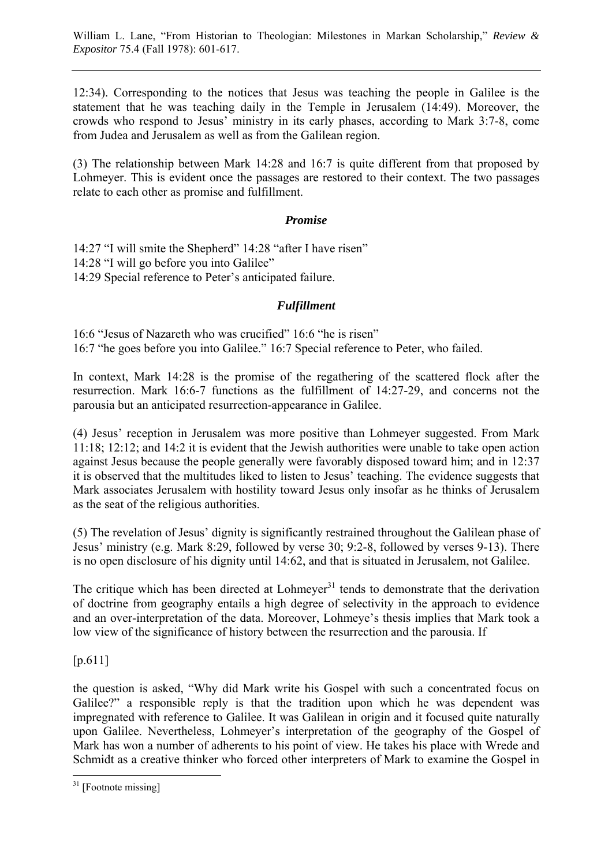12:34). Corresponding to the notices that Jesus was teaching the people in Galilee is the statement that he was teaching daily in the Temple in Jerusalem (14:49). Moreover, the crowds who respond to Jesus' ministry in its early phases, according to Mark 3:7-8, come from Judea and Jerusalem as well as from the Galilean region.

(3) The relationship between Mark 14:28 and 16:7 is quite different from that proposed by Lohmeyer. This is evident once the passages are restored to their context. The two passages relate to each other as promise and fulfillment.

## *Promise*

14:27 "I will smite the Shepherd" 14:28 "after I have risen" 14:28 "I will go before you into Galilee" 14:29 Special reference to Peter's anticipated failure.

## *Fulfillment*

16:6 "Jesus of Nazareth who was crucified" 16:6 "he is risen" 16:7 "he goes before you into Galilee." 16:7 Special reference to Peter, who failed.

In context, Mark 14:28 is the promise of the regathering of the scattered flock after the resurrection. Mark 16:6-7 functions as the fulfillment of 14:27-29, and concerns not the parousia but an anticipated resurrection-appearance in Galilee.

(4) Jesus' reception in Jerusalem was more positive than Lohmeyer suggested. From Mark 11:18; 12:12; and 14:2 it is evident that the Jewish authorities were unable to take open action against Jesus because the people generally were favorably disposed toward him; and in 12:37 it is observed that the multitudes liked to listen to Jesus' teaching. The evidence suggests that Mark associates Jerusalem with hostility toward Jesus only insofar as he thinks of Jerusalem as the seat of the religious authorities.

(5) The revelation of Jesus' dignity is significantly restrained throughout the Galilean phase of Jesus' ministry (e.g. Mark 8:29, followed by verse 30; 9:2-8, followed by verses 9-13). There is no open disclosure of his dignity until 14:62, and that is situated in Jerusalem, not Galilee.

The critique which has been directed at  $Lohmeyer<sup>31</sup>$  tends to demonstrate that the derivation of doctrine from geography entails a high degree of selectivity in the approach to evidence and an over-interpretation of the data. Moreover, Lohmeye's thesis implies that Mark took a low view of the significance of history between the resurrection and the parousia. If

[p.611]

the question is asked, "Why did Mark write his Gospel with such a concentrated focus on Galilee?" a responsible reply is that the tradition upon which he was dependent was impregnated with reference to Galilee. It was Galilean in origin and it focused quite naturally upon Galilee. Nevertheless, Lohmeyer's interpretation of the geography of the Gospel of Mark has won a number of adherents to his point of view. He takes his place with Wrede and Schmidt as a creative thinker who forced other interpreters of Mark to examine the Gospel in

 $\overline{a}$  $31$  [Footnote missing]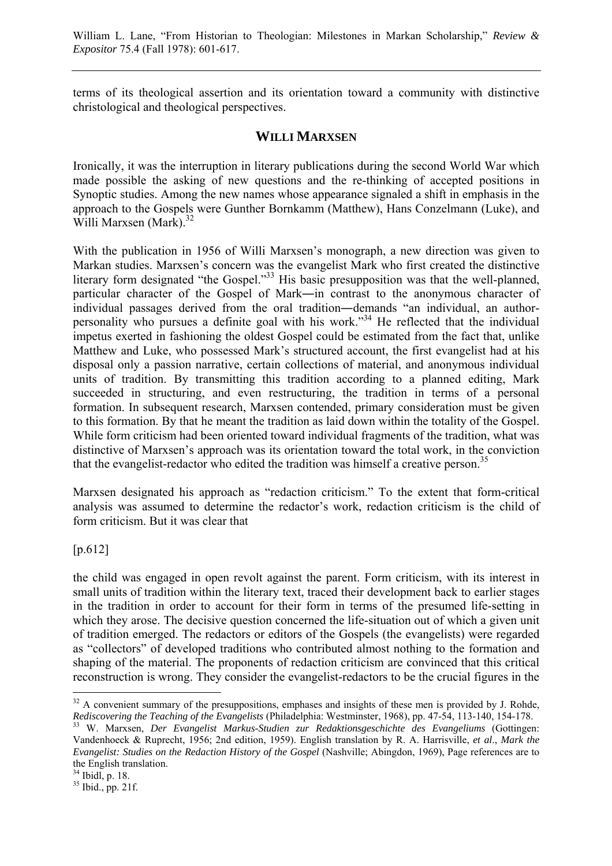terms of its theological assertion and its orientation toward a community with distinctive christological and theological perspectives.

## **WILLI MARXSEN**

Ironically, it was the interruption in literary publications during the second World War which made possible the asking of new questions and the re-thinking of accepted positions in Synoptic studies. Among the new names whose appearance signaled a shift in emphasis in the approach to the Gospels were Gunther Bornkamm (Matthew), Hans Conzelmann (Luke), and Willi Marxsen (Mark).<sup>32</sup>

With the publication in 1956 of Willi Marxsen's monograph, a new direction was given to Markan studies. Marxsen's concern was the evangelist Mark who first created the distinctive literary form designated "the Gospel."<sup>33</sup> His basic presupposition was that the well-planned, particular character of the Gospel of Mark―in contrast to the anonymous character of individual passages derived from the oral tradition―demands "an individual, an authorpersonality who pursues a definite goal with his work."34 He reflected that the individual impetus exerted in fashioning the oldest Gospel could be estimated from the fact that, unlike Matthew and Luke, who possessed Mark's structured account, the first evangelist had at his disposal only a passion narrative, certain collections of material, and anonymous individual units of tradition. By transmitting this tradition according to a planned editing, Mark succeeded in structuring, and even restructuring, the tradition in terms of a personal formation. In subsequent research, Marxsen contended, primary consideration must be given to this formation. By that he meant the tradition as laid down within the totality of the Gospel. While form criticism had been oriented toward individual fragments of the tradition, what was distinctive of Marxsen's approach was its orientation toward the total work, in the conviction that the evangelist-redactor who edited the tradition was himself a creative person.<sup>35</sup>

Marxsen designated his approach as "redaction criticism." To the extent that form-critical analysis was assumed to determine the redactor's work, redaction criticism is the child of form criticism. But it was clear that

## [p.612]

the child was engaged in open revolt against the parent. Form criticism, with its interest in small units of tradition within the literary text, traced their development back to earlier stages in the tradition in order to account for their form in terms of the presumed life-setting in which they arose. The decisive question concerned the life-situation out of which a given unit of tradition emerged. The redactors or editors of the Gospels (the evangelists) were regarded as "collectors" of developed traditions who contributed almost nothing to the formation and shaping of the material. The proponents of redaction criticism are convinced that this critical reconstruction is wrong. They consider the evangelist-redactors to be the crucial figures in the

 $\overline{a}$  $32$  A convenient summary of the presuppositions, emphases and insights of these men is provided by J. Rohde, Rediscovering the Teaching of the Evangelists (Philadelphia: Westminster, 1968), pp. 47-54, 113-140, 154-178.

<sup>&</sup>lt;sup>33</sup> W. Marxsen, Der Evangelist Markus-Studien zur Redaktionsgeschichte des Evangeliums (Gottingen: Vandenhoeck & Ruprecht, 1956; 2nd edition, 1959). English translation by R. A. Harrisville, *et al*., *Mark the Evangelist: Studies on the Redaction History of the Gospel* (Nashville; Abingdon, 1969), Page references are to the English translation.

 $34$  Ibidl, p. 18.

<sup>35</sup> Ibid., pp. 21f.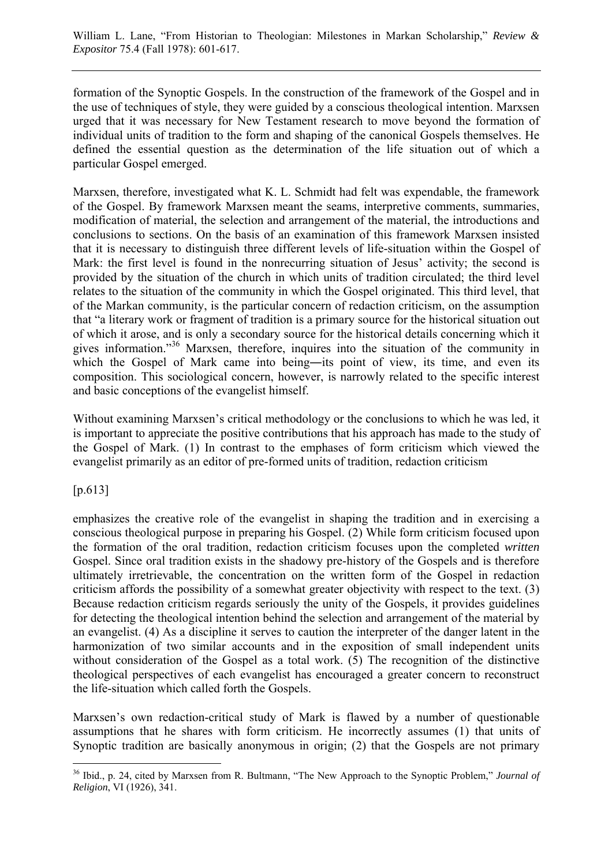formation of the Synoptic Gospels. In the construction of the framework of the Gospel and in the use of techniques of style, they were guided by a conscious theological intention. Marxsen urged that it was necessary for New Testament research to move beyond the formation of individual units of tradition to the form and shaping of the canonical Gospels themselves. He defined the essential question as the determination of the life situation out of which a particular Gospel emerged.

Marxsen, therefore, investigated what K. L. Schmidt had felt was expendable, the framework of the Gospel. By framework Marxsen meant the seams, interpretive comments, summaries, modification of material, the selection and arrangement of the material, the introductions and conclusions to sections. On the basis of an examination of this framework Marxsen insisted that it is necessary to distinguish three different levels of life-situation within the Gospel of Mark: the first level is found in the nonrecurring situation of Jesus' activity; the second is provided by the situation of the church in which units of tradition circulated; the third level relates to the situation of the community in which the Gospel originated. This third level, that of the Markan community, is the particular concern of redaction criticism, on the assumption that "a literary work or fragment of tradition is a primary source for the historical situation out of which it arose, and is only a secondary source for the historical details concerning which it gives information."<sup>36</sup> Marxsen, therefore, inquires into the situation of the community in which the Gospel of Mark came into being—its point of view, its time, and even its composition. This sociological concern, however, is narrowly related to the specific interest and basic conceptions of the evangelist himself.

Without examining Marxsen's critical methodology or the conclusions to which he was led, it is important to appreciate the positive contributions that his approach has made to the study of the Gospel of Mark. (1) In contrast to the emphases of form criticism which viewed the evangelist primarily as an editor of pre-formed units of tradition, redaction criticism

[p.613]

emphasizes the creative role of the evangelist in shaping the tradition and in exercising a conscious theological purpose in preparing his Gospel. (2) While form criticism focused upon the formation of the oral tradition, redaction criticism focuses upon the completed *written* Gospel. Since oral tradition exists in the shadowy pre-history of the Gospels and is therefore ultimately irretrievable, the concentration on the written form of the Gospel in redaction criticism affords the possibility of a somewhat greater objectivity with respect to the text. (3) Because redaction criticism regards seriously the unity of the Gospels, it provides guidelines for detecting the theological intention behind the selection and arrangement of the material by an evangelist. (4) As a discipline it serves to caution the interpreter of the danger latent in the harmonization of two similar accounts and in the exposition of small independent units without consideration of the Gospel as a total work. (5) The recognition of the distinctive theological perspectives of each evangelist has encouraged a greater concern to reconstruct the life-situation which called forth the Gospels.

Marxsen's own redaction-critical study of Mark is flawed by a number of questionable assumptions that he shares with form criticism. He incorrectly assumes (1) that units of Synoptic tradition are basically anonymous in origin; (2) that the Gospels are not primary

 $\overline{a}$ 36 Ibid., p. 24, cited by Marxsen from R. Bultmann, "The New Approach to the Synoptic Problem," *Journal of Religion*, VI (1926), 341.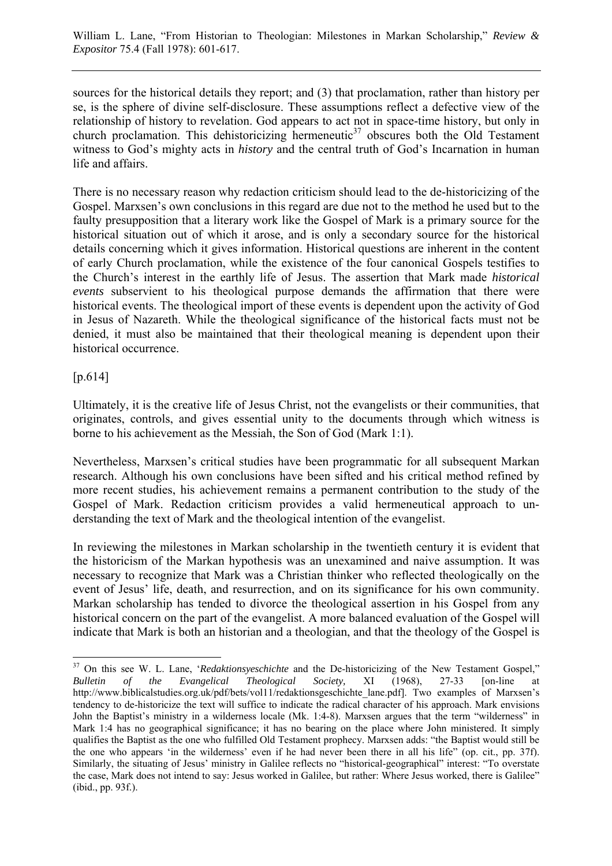sources for the historical details they report; and (3) that proclamation, rather than history per se, is the sphere of divine self-disclosure. These assumptions reflect a defective view of the relationship of history to revelation. God appears to act not in space-time history, but only in church proclamation. This dehistoricizing hermeneutic $37$  obscures both the Old Testament witness to God's mighty acts in *history* and the central truth of God's Incarnation in human life and affairs.

There is no necessary reason why redaction criticism should lead to the de-historicizing of the Gospel. Marxsen's own conclusions in this regard are due not to the method he used but to the faulty presupposition that a literary work like the Gospel of Mark is a primary source for the historical situation out of which it arose, and is only a secondary source for the historical details concerning which it gives information. Historical questions are inherent in the content of early Church proclamation, while the existence of the four canonical Gospels testifies to the Church's interest in the earthly life of Jesus. The assertion that Mark made *historical events* subservient to his theological purpose demands the affirmation that there were historical events. The theological import of these events is dependent upon the activity of God in Jesus of Nazareth. While the theological significance of the historical facts must not be denied, it must also be maintained that their theological meaning is dependent upon their historical occurrence.

## [p.614]

 $\overline{a}$ 

Ultimately, it is the creative life of Jesus Christ, not the evangelists or their communities, that originates, controls, and gives essential unity to the documents through which witness is borne to his achievement as the Messiah, the Son of God (Mark 1:1).

Nevertheless, Marxsen's critical studies have been programmatic for all subsequent Markan research. Although his own conclusions have been sifted and his critical method refined by more recent studies, his achievement remains a permanent contribution to the study of the Gospel of Mark. Redaction criticism provides a valid hermeneutical approach to understanding the text of Mark and the theological intention of the evangelist.

In reviewing the milestones in Markan scholarship in the twentieth century it is evident that the historicism of the Markan hypothesis was an unexamined and naive assumption. It was necessary to recognize that Mark was a Christian thinker who reflected theologically on the event of Jesus' life, death, and resurrection, and on its significance for his own community. Markan scholarship has tended to divorce the theological assertion in his Gospel from any historical concern on the part of the evangelist. A more balanced evaluation of the Gospel will indicate that Mark is both an historian and a theologian, and that the theology of the Gospel is

<sup>&</sup>lt;sup>37</sup> On this see W. L. Lane, '*Redaktionsyeschichte* and the De-historicizing of the New Testament Gospel," *Bulletin of the Evangelical Theological Society,* XI (1968), 27-33 [on-line at [http://www.biblicalstudies.org.uk/pdf/bets/vol11/redaktionsgeschichte\\_lane.pd](http://www.biblicalstudies.org.uk/pdf/bets/vol11/redaktionsgeschichte_lane.pdf)f]. Two examples of Marxsen's tendency to de-historicize the text will suffice to indicate the radical character of his approach. Mark envisions John the Baptist's ministry in a wilderness locale (Mk. 1:4-8). Marxsen argues that the term "wilderness" in Mark 1:4 has no geographical significance; it has no bearing on the place where John ministered. It simply qualifies the Baptist as the one who fulfilled Old Testament prophecy. Marxsen adds: "the Baptist would still be the one who appears 'in the wilderness' even if he had never been there in all his life" (op. cit., pp. 37f). Similarly, the situating of Jesus' ministry in Galilee reflects no "historical-geographical" interest: "To overstate the case, Mark does not intend to say: Jesus worked in Galilee, but rather: Where Jesus worked, there is Galilee" (ibid., pp. 93f.).